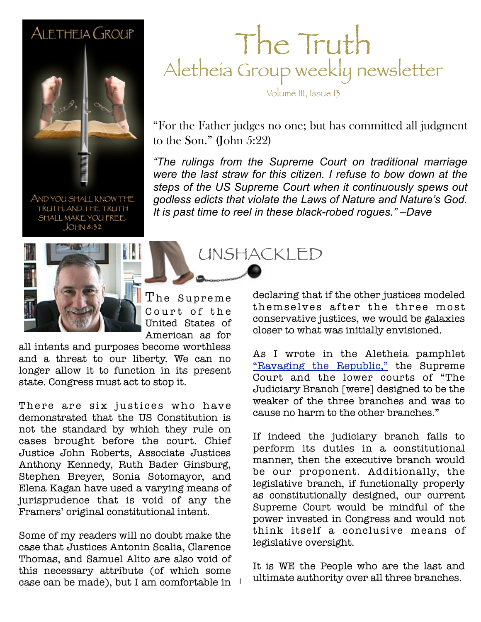#### ALETHEIA GROUP



AND YOU SHALL KNOW THE TRUTH, AND THE TRUTH SHALL MAKE YOU FREE.  $JOHM 8:32$ 



The Supreme Court of the United States of American as for

1

all intents and purposes become worthless and a threat to our liberty. We can no longer allow it to function in its present state. Congress must act to stop it.

There are six justices who have demonstrated that the US Constitution is not the standard by which they rule on cases brought before the court. Chief Justice John Roberts, Associate Justices Anthony Kennedy, Ruth Bader Ginsburg, Stephen Breyer, Sonia Sotomayor, and Elena Kagan have used a varying means of jurisprudence that is void of any the Framers' original constitutional intent.

Some of my readers will no doubt make the case that Justices Antonin Scalia, Clarence Thomas, and Samuel Alito are also void of this necessary attribute (of which some case can be made), but I am comfortable in

### The Truth Aletheia Group weekly newsletter

Volume III, Issue 13

"For the Father judges no one; but has committed all judgment to the Son." (John 5:22)

were the last straw for this citizen. I refuse to bow down at the *"The rulings from the Supreme Court on traditional marriage steps of the US Supreme Court when it continuously spews out godless edicts that violate the Laws of Nature and Nature's God. It is past time to reel in these black-robed rogues." –Dave*

UNSHACKLED

declaring that if the other justices modeled themselves after the three most conservative justices, we would be galaxies closer to what was initially envisioned.

As I wrote in the Aletheia pamphlet ["Ravaging the Republic,"](http://www.aletheiagroup.org/wp-content/uploads/2011/07/Ravaging-the-Republic.pdf) the Supreme Court and the lower courts of "The Judiciary Branch [were] designed to be the weaker of the three branches and was to cause no harm to the other branches."

If indeed the judiciary branch fails to perform its duties in a constitutional manner, then the executive branch would be our proponent. Additionally, the legislative branch, if functionally properly as constitutionally designed, our current Supreme Court would be mindful of the power invested in Congress and would not think itself a conclusive means of legislative oversight.

It is WE the People who are the last and ultimate authority over all three branches.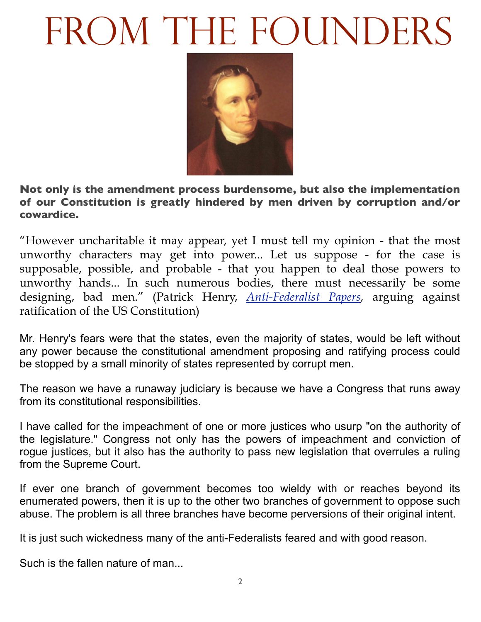# FROM THE FOUNDERS



**Not only is the amendment process burdensome, but also the implementation of our Constitution is greatly hindered by men driven by corruption and/or cowardice.**

"However uncharitable it may appear, yet I must tell my opinion - that the most unworthy characters may get into power... Let us suppose - for the case is supposable, possible, and probable - that you happen to deal those powers to unworthy hands... In such numerous bodies, there must necessarily be some designing, bad men." (Patrick Henry, *[Anti-Federalist Papers,](http://www.constitution.org/afp/afp.htm)* arguing against ratification of the US Constitution)

Mr. Henry's fears were that the states, even the majority of states, would be left without any power because the constitutional amendment proposing and ratifying process could be stopped by a small minority of states represented by corrupt men.

The reason we have a runaway judiciary is because we have a Congress that runs away from its constitutional responsibilities.

I have called for the impeachment of one or more justices who usurp "on the authority of the legislature." Congress not only has the powers of impeachment and conviction of rogue justices, but it also has the authority to pass new legislation that overrules a ruling from the Supreme Court.

If ever one branch of government becomes too wieldy with or reaches beyond its enumerated powers, then it is up to the other two branches of government to oppose such abuse. The problem is all three branches have become perversions of their original intent.

It is just such wickedness many of the anti-Federalists feared and with good reason.

Such is the fallen nature of man...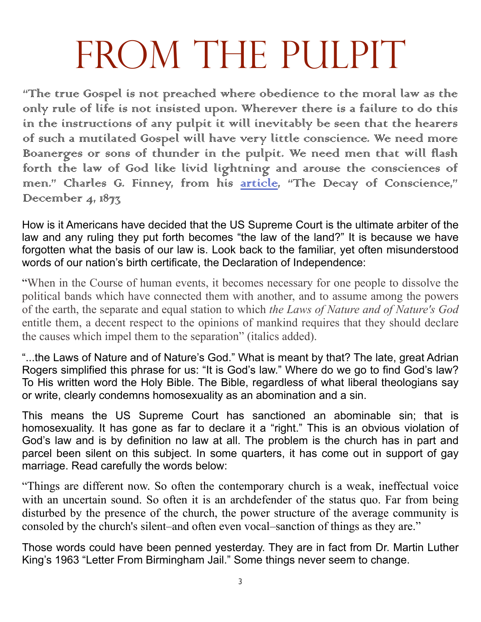# FROM THE PULPIT

"The true Gospel is not preached where obedience to the moral law as the only rule of life is not insisted upon. Wherever there is a failure to do this in the instructions of any pulpit it will inevitably be seen that the hearers of such a mutilated Gospel will have very little conscience. We need more Boanerges or sons of thunder in the pulpit. We need men that will flash forth the law of God like livid lightning and arouse the consciences of men." Charles G. Finney, from his article, "The Decay of Conscience," December  $4,187\frac{7}{3}$ 

How is it Americans have decided that the US Supreme Court is the ultimate arbiter of the law and any ruling they put forth becomes "the law of the land?" It is because we have forgotten what the basis of our law is. Look back to the familiar, yet often misunderstood words of our nation's birth certificate, the Declaration of Independence:

"When in the Course of human events, it becomes necessary for one people to dissolve the political bands which have connected them with another, and to assume among the powers of the earth, the separate and equal station to which *the Laws of Nature and of Nature's God*  entitle them, a decent respect to the opinions of mankind requires that they should declare the causes which impel them to the separation" (italics added).

"...the Laws of Nature and of Nature's God." What is meant by that? The late, great Adrian Rogers simplified this phrase for us: "It is God's law." Where do we go to find God's law? To His written word the Holy Bible. The Bible, regardless of what liberal theologians say or write, clearly condemns homosexuality as an abomination and a sin.

This means the US Supreme Court has sanctioned an abominable sin; that is homosexuality. It has gone as far to declare it a "right." This is an obvious violation of God's law and is by definition no law at all. The problem is the church has in part and parcel been silent on this subject. In some quarters, it has come out in support of gay marriage. Read carefully the words below:

"Things are different now. So often the contemporary church is a weak, ineffectual voice with an uncertain sound. So often it is an archdefender of the status quo. Far from being disturbed by the presence of the church, the power structure of the average community is consoled by the church's silent–and often even vocal–sanction of things as they are."

Those words could have been penned yesterday. They are in fact from Dr. Martin Luther King's 1963 "Letter From Birmingham Jail." Some things never seem to change.